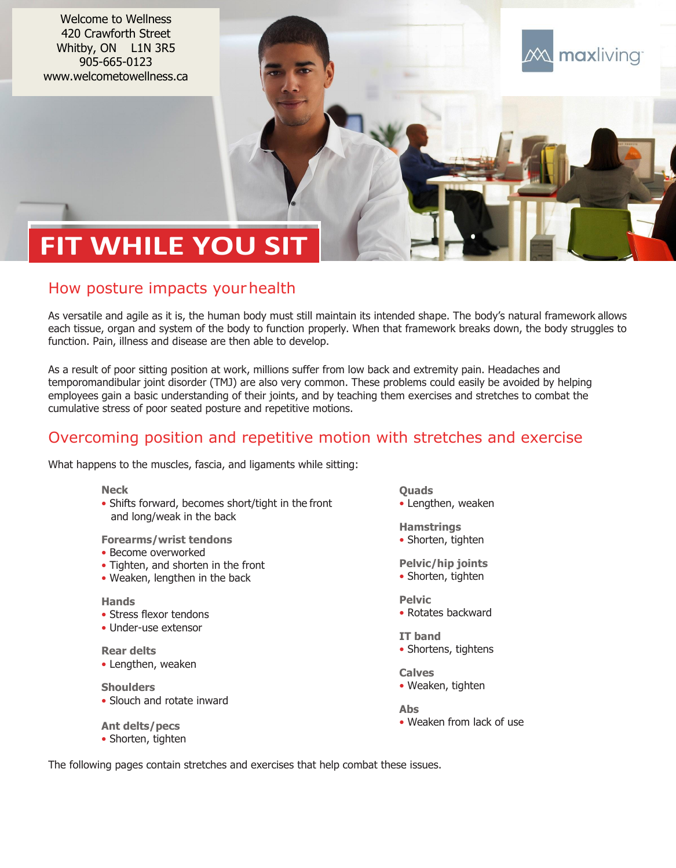Welcome to Wellness 420 Crawforth Street Whitby, ON L1N 3R5 905-665-0123 www.welcometowellness.ca

# **FIT WHILE YOU SIT**

### How posture impacts yourhealth

As versatile and agile as it is, the human body must still maintain its intended shape. The body's natural framework allows each tissue, organ and system of the body to function properly. When that framework breaks down, the body struggles to function. Pain, illness and disease are then able to develop.

As a result of poor sitting position at work, millions suffer from low back and extremity pain. Headaches and temporomandibular joint disorder (TMJ) are also very common. These problems could easily be avoided by helping employees gain a basic understanding of their joints, and by teaching them exercises and stretches to combat the cumulative stress of poor seated posture and repetitive motions.

### Overcoming position and repetitive motion with stretches and exercise

What happens to the muscles, fascia, and ligaments while sitting:

**Neck**

• Shifts forward, becomes short/tight in the front and long/weak in the back

**Forearms/wrist tendons**

- Become overworked
- Tighten, and shorten in the front
- Weaken, lengthen in the back

#### **Hands**

- Stress flexor tendons
- Under-use extensor
- **Rear delts** • Lengthen, weaken
- **Shoulders**
- Slouch and rotate inward

**Ant delts/pecs** • Shorten, tighten **Quads** • Lengthen, weaken maxliving

- **Hamstrings** • Shorten, tighten
- **Pelvic/hip joints** • Shorten, tighten
- **Pelvic** • Rotates backward
- **IT band** • Shortens, tightens
- **Calves** • Weaken, tighten
- **Abs** • Weaken from lack of use
- The following pages contain stretches and exercises that help combat these issues.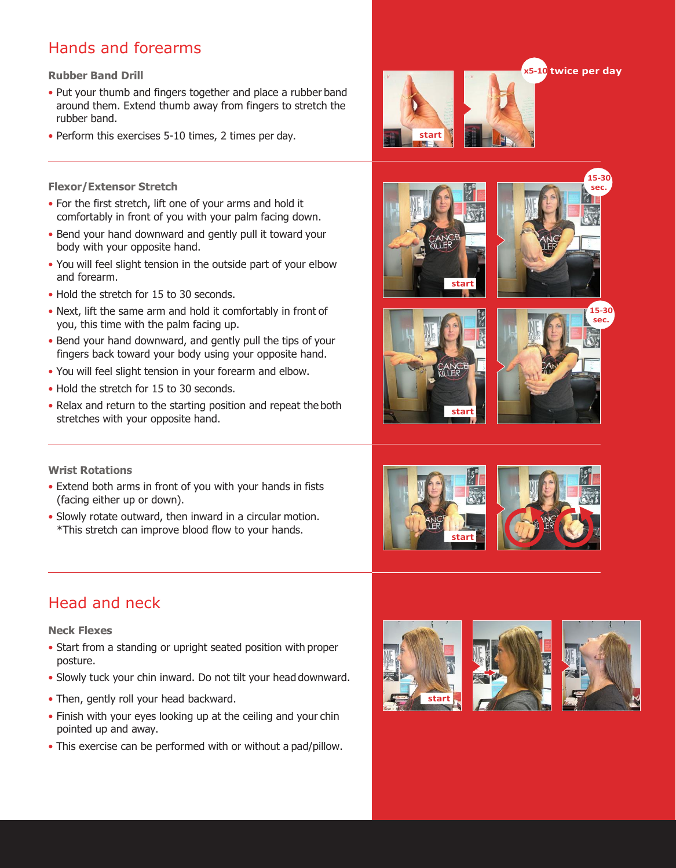# Hands and forearms

#### **Rubber Band Drill**

- Put your thumb and fingers together and place a rubber band around them. Extend thumb away from fingers to stretch the rubber band.
- Perform this exercises 5-10 times, 2 times per day.

#### **Flexor/Extensor Stretch**

- For the first stretch, lift one of your arms and hold it comfortably in front of you with your palm facing down.
- Bend your hand downward and gently pull it toward your body with your opposite hand.
- You will feel slight tension in the outside part of your elbow and forearm.
- Hold the stretch for 15 to 30 seconds.
- Next, lift the same arm and hold it comfortably in front of you, this time with the palm facing up.
- Bend your hand downward, and gently pull the tips of your fingers back toward your body using your opposite hand.
- You will feel slight tension in your forearm and elbow.
- Hold the stretch for 15 to 30 seconds.
- Relax and return to the starting position and repeat the both stretches with your opposite hand.

#### **Wrist Rotations**

- Extend both arms in front of you with your hands in fists (facing either up or down).
- Slowly rotate outward, then inward in a circular motion. \*This stretch can improve blood flow to your hands.

## Head and neck

#### **Neck Flexes**

- Start from a standing or upright seated position with proper posture.
- Slowly tuck your chin inward. Do not tilt your head downward.
- Then, gently roll your head backward.
- Finish with your eyes looking up at the ceiling and your chin pointed up and away.
- This exercise can be performed with or without a pad/pillow.





















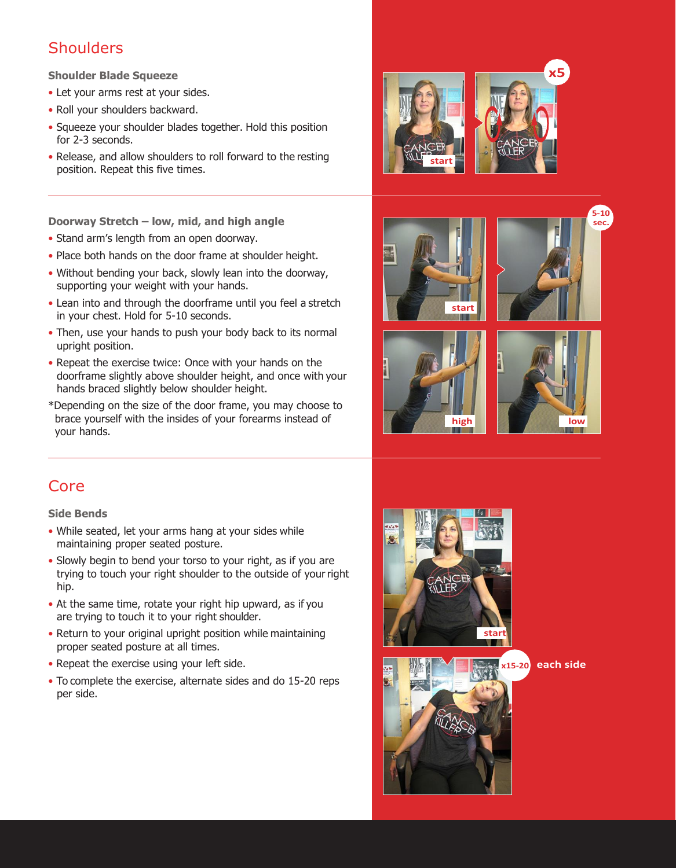### **Shoulders**

#### **Shoulder Blade Squeeze**

- Let your arms rest at your sides.
- Roll your shoulders backward.
- Squeeze your shoulder blades together. Hold this position for 2-3 seconds.
- Release, and allow shoulders to roll forward to the resting position. Repeat this five times.

**Doorway Stretch – low, mid, and high angle**

- Stand arm's length from an open doorway.
- Place both hands on the door frame at shoulder height.
- Without bending your back, slowly lean into the doorway, supporting your weight with your hands.
- Lean into and through the doorframe until you feel a stretch in your chest. Hold for 5-10 seconds.
- Then, use your hands to push your body back to its normal upright position.
- Repeat the exercise twice: Once with your hands on the doorframe slightly above shoulder height, and once with your hands braced slightly below shoulder height.
- \*Depending on the size of the door frame, you may choose to brace yourself with the insides of your forearms instead of your hands.









**5-10 sec.**

### Core

#### **Side Bends**

- While seated, let your arms hang at your sides while maintaining proper seated posture.
- Slowly begin to bend your torso to your right, as if you are trying to touch your right shoulder to the outside of yourright hip.
- At the same time, rotate your right hip upward, as if you are trying to touch it to your right shoulder.
- Return to your original upright position while maintaining proper seated posture at all times.
- Repeat the exercise using your left side.
- To complete the exercise, alternate sides and do 15-20 reps per side.





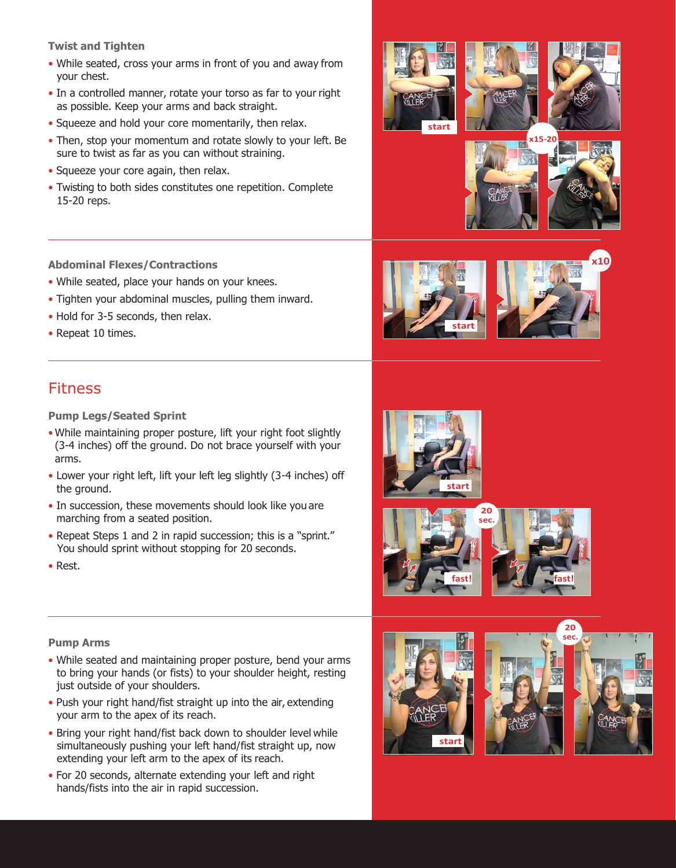**Twist and Tighten**

- While seated, cross your arms in front of you and away from your chest.
- In a controlled manner, rotate your torso as far to your right as possible. Keep your arms and back straight.
- Squeeze and hold your core momentarily, then relax.
- Then, stop your momentum and rotate slowly to your left. Be sure to twist as far as you can without straining.
- Squeeze your core again, then relax.
- Twisting to both sides constitutes one repetition. Complete 15-20 reps.

### **Abdominal Flexes/Contractions**

- While seated, place your hands on your knees.
- Tighten your abdominal muscles, pulling them inward.
- Hold for 3-5 seconds, then relax.
- Repeat 10 times.

### Fitness

**Pump Legs/Seated Sprint**

- While maintaining proper posture, lift your right foot slightly (3-4 inches) off the ground. Do not brace yourself with your arms.
- Lower your right left, lift your left leg slightly (3-4 inches) off the ground.
- In succession, these movements should look like you are marching from a seated position.
- Repeat Steps 1 and 2 in rapid succession; this is a "sprint." You should sprint without stopping for 20 seconds.
- Rest.

### **Pump Arms**

- While seated and maintaining proper posture, bend your arms to bring your hands (or fists) to your shoulder height, resting just outside of your shoulders.
- Push your right hand/fist straight up into the air, extending your arm to the apex of its reach.
- Bring your right hand/fist back down to shoulder level while simultaneously pushing your left hand/fist straight up, now extending your left arm to the apex of its reach.
- For 20 seconds, alternate extending your left and right hands/fists into the air in rapid succession.